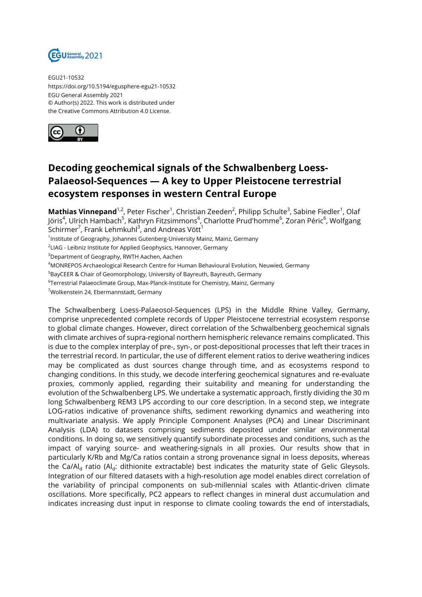

EGU21-10532 https://doi.org/10.5194/egusphere-egu21-10532 EGU General Assembly 2021 © Author(s) 2022. This work is distributed under the Creative Commons Attribution 4.0 License.



## **Decoding geochemical signals of the Schwalbenberg Loess-Palaeosol-Sequences — A key to Upper Pleistocene terrestrial ecosystem responses in western Central Europe**

**Mathias Vinnepand<sup>1,2</sup>,** Peter Fischer<sup>1</sup>, Christian Zeeden<sup>2</sup>, Philipp Schulte<sup>3</sup>, Sabine Fiedler<sup>1</sup>, Olaf Jöris<sup>4</sup>, Ulrich Hambach<sup>5</sup>, Kathryn Fitzsimmons<sup>6</sup>, Charlotte Prud'homme<sup>6</sup>, Zoran Péric<sup>6</sup>, Wolfgang Schirmer $^7$ , Frank Lehmkuhl $^3$ , and Andreas Vött $^1$ 

<sup>1</sup>Institute of Geography, Johannes Gutenberg-University Mainz, Mainz, Germany

 $^2$ LIAG - Leibniz Institute for Applied Geophysics, Hannover, Germany

<sup>3</sup>Department of Geography, RWTH Aachen, Aachen

<sup>4</sup>MONREPOS Archaeological Research Centre for Human Behavioural Evolution, Neuwied, Germany

<sup>5</sup>BayCEER & Chair of Geomorphology, University of Bayreuth, Bayreuth, Germany

6 Terrestrial Palaeoclimate Group, Max-Planck-Institute for Chemistry, Mainz, Germany

<sup>7</sup>Wolkenstein 24, Ebermannstadt, Germany

The Schwalbenberg Loess-Palaeosol-Sequences (LPS) in the Middle Rhine Valley, Germany, comprise unprecedented complete records of Upper Pleistocene terrestrial ecosystem response to global climate changes. However, direct correlation of the Schwalbenberg geochemical signals with climate archives of supra-regional northern hemispheric relevance remains complicated. This is due to the complex interplay of pre-, syn-, or post-depositional processes that left their traces in the terrestrial record. In particular, the use of different element ratios to derive weathering indices may be complicated as dust sources change through time, and as ecosystems respond to changing conditions. In this study, we decode interfering geochemical signatures and re-evaluate proxies, commonly applied, regarding their suitability and meaning for understanding the evolution of the Schwalbenberg LPS. We undertake a systematic approach, firstly dividing the 30 m long Schwalbenberg REM3 LPS according to our core description. In a second step, we integrate LOG-ratios indicative of provenance shifts, sediment reworking dynamics and weathering into multivariate analysis. We apply Principle Component Analyses (PCA) and Linear Discriminant Analysis (LDA) to datasets comprising sediments deposited under similar environmental conditions. In doing so, we sensitively quantify subordinate processes and conditions, such as the impact of varying source- and weathering-signals in all proxies. Our results show that in particularly K/Rb and Mg/Ca ratios contain a strong provenance signal in loess deposits, whereas the Ca/Al<sub>d</sub> ratio (Al<sub>d</sub>: dithionite extractable) best indicates the maturity state of Gelic Gleysols. Integration of our filtered datasets with a high-resolution age model enables direct correlation of the variability of principal components on sub-millennial scales with Atlantic-driven climate oscillations. More specifically, PC2 appears to reflect changes in mineral dust accumulation and indicates increasing dust input in response to climate cooling towards the end of interstadials,